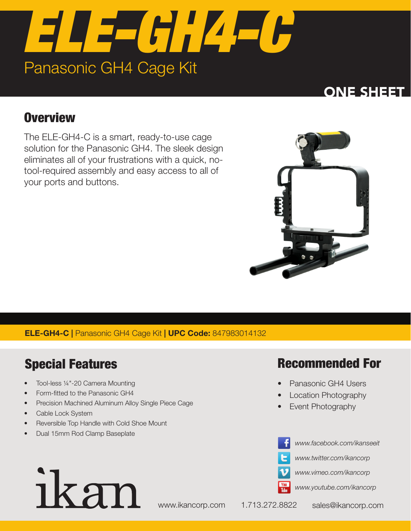

## ONE SHEE

## **Overview**

The ELE-GH4-C is a smart, ready-to-use cage solution for the Panasonic GH4. The sleek design eliminates all of your frustrations with a quick, notool-required assembly and easy access to all of your ports and buttons.



### ELE-GH4-C | Panasonic GH4 Cage Kit | UPC Code: 847983014132

## Special Features

- Tool-less ¼"-20 Camera Mounting
- Form-fitted to the Panasonic GH4
- Precision Machined Aluminum Alloy Single Piece Cage
- Cable Lock System
- Reversible Top Handle with Cold Shoe Mount
- Dual 15mm Rod Clamp Baseplate

ikan

## Recommended For

- Panasonic GH4 Users
- Location Photography
- Event Photography





*www.twitter.com/ikancorp*



*www.youtube.com/ikancorp*

www.ikancorp.com 1.713.272.8822 sales@ikancorp.com